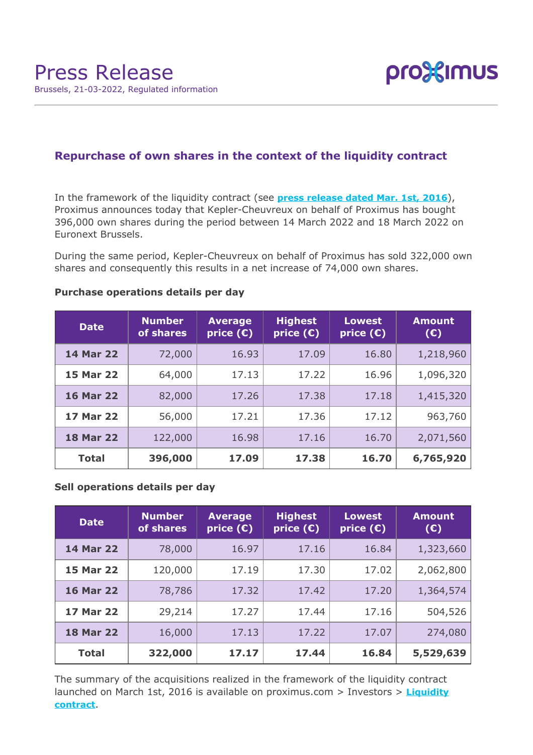

# **Repurchase of own shares in the context of the liquidity contract**

In the framework of the liquidity contract (see **[press release dated Mar. 1st, 2016](https://www.proximus.com/news/2016/proximus-enters-liquidity-contract.html)**), Proximus announces today that Kepler-Cheuvreux on behalf of Proximus has bought 396,000 own shares during the period between 14 March 2022 and 18 March 2022 on Euronext Brussels.

During the same period, Kepler-Cheuvreux on behalf of Proximus has sold 322,000 own shares and consequently this results in a net increase of 74,000 own shares.

| <b>Date</b>      | <b>Number</b><br>of shares | <b>Average</b><br>price $(E)$ | <b>Highest</b><br>price $(E)$ | <b>Lowest</b><br>price $(\epsilon)$ | <b>Amount</b><br>$(\epsilon)$ |
|------------------|----------------------------|-------------------------------|-------------------------------|-------------------------------------|-------------------------------|
| <b>14 Mar 22</b> | 72,000                     | 16.93                         | 17.09                         | 16.80                               | 1,218,960                     |
| <b>15 Mar 22</b> | 64,000                     | 17.13                         | 17.22                         | 16.96                               | 1,096,320                     |
| <b>16 Mar 22</b> | 82,000                     | 17.26                         | 17.38                         | 17.18                               | 1,415,320                     |
| <b>17 Mar 22</b> | 56,000                     | 17.21                         | 17.36                         | 17.12                               | 963,760                       |
| <b>18 Mar 22</b> | 122,000                    | 16.98                         | 17.16                         | 16.70                               | 2,071,560                     |
| <b>Total</b>     | 396,000                    | 17.09                         | 17.38                         | 16.70                               | 6,765,920                     |

### **Purchase operations details per day**

## **Sell operations details per day**

| <b>Date</b>      | <b>Number</b><br>of shares | <b>Average</b><br>price $(\epsilon)$ | <b>Highest</b><br>price $(E)$ | <b>Lowest</b><br>price $(\epsilon)$ | <b>Amount</b><br>(E) |
|------------------|----------------------------|--------------------------------------|-------------------------------|-------------------------------------|----------------------|
| <b>14 Mar 22</b> | 78,000                     | 16.97                                | 17.16                         | 16.84                               | 1,323,660            |
| <b>15 Mar 22</b> | 120,000                    | 17.19                                | 17.30                         | 17.02                               | 2,062,800            |
| <b>16 Mar 22</b> | 78,786                     | 17.32                                | 17.42                         | 17.20                               | 1,364,574            |
| <b>17 Mar 22</b> | 29,214                     | 17.27                                | 17.44                         | 17.16                               | 504,526              |
| <b>18 Mar 22</b> | 16,000                     | 17.13                                | 17.22                         | 17.07                               | 274,080              |
| <b>Total</b>     | 322,000                    | 17.17                                | 17.44                         | 16.84                               | 5,529,639            |

The summary of the acquisitions realized in the framework of the liquidity contract launched on March 1st, 2016 is available on proximus.com > Investors > **[Liquidity](https://www.proximus.com/en/investors/liquidity-contract.html) [contract](https://www.proximus.com/en/investors/liquidity-contract.html)**.